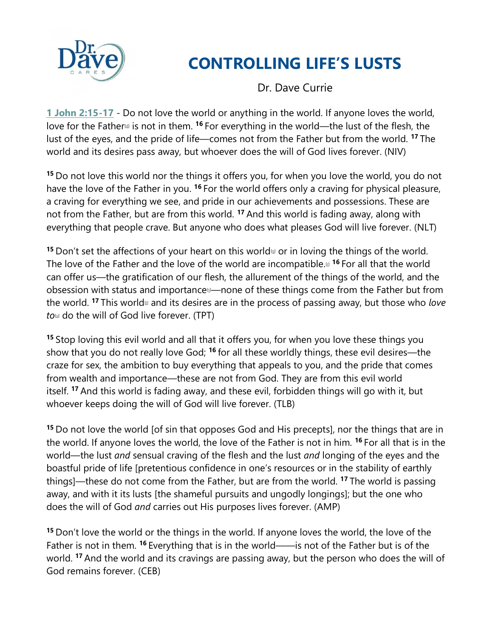

# **CONTROLLING LIFE'S LUSTS**

Dr. Dave Currie

**1 John 2:15-17** - Do not love the world or anything in the world. If anyone loves the world, love for the Father<sup>d</sup> is not in them. <sup>16</sup> For everything in the world—the lust of the flesh, the lust of the eyes, and the pride of life—comes not from the Father but from the world. **<sup>17</sup>** The world and its desires pass away, but whoever does the will of God lives forever. (NIV)

**<sup>15</sup>** Do not love this world nor the things it offers you, for when you love the world, you do not have the love of the Father in you. **<sup>16</sup>** For the world offers only a craving for physical pleasure, a craving for everything we see, and pride in our achievements and possessions. These are not from the Father, but are from this world. **<sup>17</sup>** And this world is fading away, along with everything that people crave. But anyone who does what pleases God will live forever. (NLT)

**15** Don't set the affections of your heart on this world<sup>ol or</sup> in loving the things of the world. The love of the Father and the love of the world are incompatible.[\[r\]](https://www.biblegateway.com/passage/?search=1+John+2&version=TPT#fen-TPT-11850r) **<sup>16</sup>** For all that the world can offer us—the gratification of our flesh, the allurement of the things of the world, and the obsession with status and importance<sup>[6]</sup>—none of these things come from the Father but from the world. <sup>17</sup> This world<sup>th</sup> and its desires are in the process of passing away, but those who *love to*[\[u\]](https://www.biblegateway.com/passage/?search=1+John+2&version=TPT#fen-TPT-11852u) do the will of God live forever. (TPT)

**<sup>15</sup>** Stop loving this evil world and all that it offers you, for when you love these things you show that you do not really love God; **<sup>16</sup>** for all these worldly things, these evil desires—the craze for sex, the ambition to buy everything that appeals to you, and the pride that comes from wealth and importance—these are not from God. They are from this evil world itself. **<sup>17</sup>** And this world is fading away, and these evil, forbidden things will go with it, but whoever keeps doing the will of God will live forever. (TLB)

**<sup>15</sup>** Do not love the world [of sin that opposes God and His precepts], nor the things that are in the world. If anyone loves the world, the love of the Father is not in him. **<sup>16</sup>** For all that is in the world—the lust *and* sensual craving of the flesh and the lust *and* longing of the eyes and the boastful pride of life [pretentious confidence in one's resources or in the stability of earthly things]—these do not come from the Father, but are from the world. **<sup>17</sup>** The world is passing away, and with it its lusts [the shameful pursuits and ungodly longings]; but the one who does the will of God *and* carries out His purposes lives forever. (AMP)

**<sup>15</sup>** Don't love the world or the things in the world. If anyone loves the world, the love of the Father is not in them. **<sup>16</sup>** Everything that is in the world——is not of the Father but is of the world. **<sup>17</sup>** And the world and its cravings are passing away, but the person who does the will of God remains forever. (CEB)